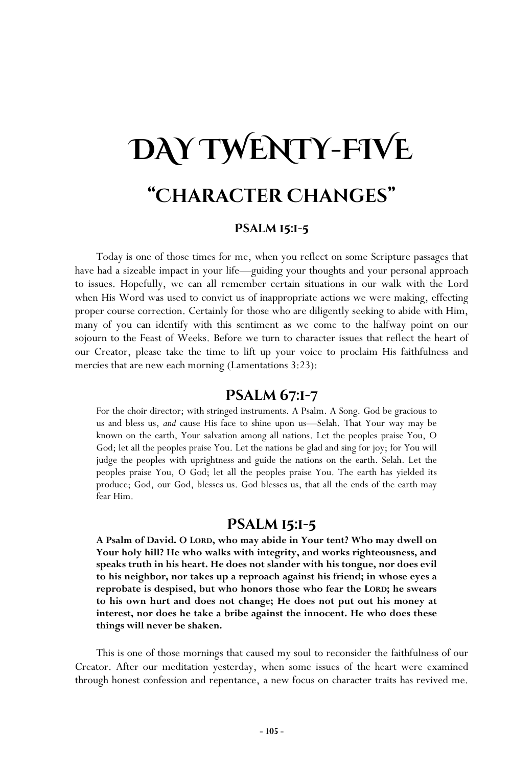# **DAY TWENTY-FIVE "Character Changes"**

#### **Psalm 15:1-5**

Today is one of those times for me, when you reflect on some Scripture passages that have had a sizeable impact in your life—guiding your thoughts and your personal approach to issues. Hopefully, we can all remember certain situations in our walk with the Lord when His Word was used to convict us of inappropriate actions we were making, effecting proper course correction. Certainly for those who are diligently seeking to abide with Him, many of you can identify with this sentiment as we come to the halfway point on our sojourn to the Feast of Weeks. Before we turn to character issues that reflect the heart of our Creator, please take the time to lift up your voice to proclaim His faithfulness and mercies that are new each morning (Lamentations 3:23):

## **Psalm 67:1-7**

For the choir director; with stringed instruments. A Psalm. A Song. God be gracious to us and bless us, *and* cause His face to shine upon us—Selah. That Your way may be known on the earth, Your salvation among all nations. Let the peoples praise You, O God; let all the peoples praise You. Let the nations be glad and sing for joy; for You will judge the peoples with uprightness and guide the nations on the earth. Selah. Let the peoples praise You, O God; let all the peoples praise You. The earth has yielded its produce; God, our God, blesses us. God blesses us, that all the ends of the earth may fear Him.

## **Psalm 15:1-5**

**A Psalm of David. O LORD, who may abide in Your tent? Who may dwell on Your holy hill? He who walks with integrity, and works righteousness, and speaks truth in his heart. He does not slander with his tongue, nor does evil to his neighbor, nor takes up a reproach against his friend; in whose eyes a reprobate is despised, but who honors those who fear the LORD; he swears to his own hurt and does not change; He does not put out his money at interest, nor does he take a bribe against the innocent. He who does these things will never be shaken.** 

This is one of those mornings that caused my soul to reconsider the faithfulness of our Creator. After our meditation yesterday, when some issues of the heart were examined through honest confession and repentance, a new focus on character traits has revived me.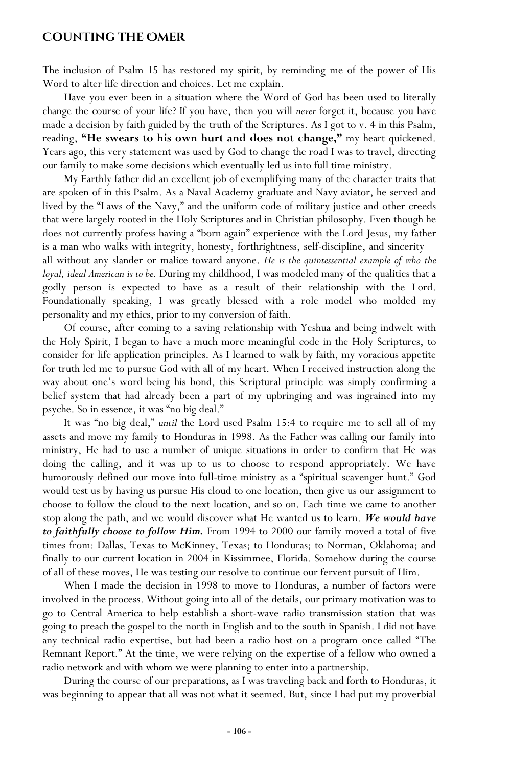#### **Counting the Omer**

The inclusion of Psalm 15 has restored my spirit, by reminding me of the power of His Word to alter life direction and choices. Let me explain.

Have you ever been in a situation where the Word of God has been used to literally change the course of your life? If you have, then you will *never* forget it, because you have made a decision by faith guided by the truth of the Scriptures. As I got to v. 4 in this Psalm, reading, **"He swears to his own hurt and does not change,"** my heart quickened. Years ago, this very statement was used by God to change the road I was to travel, directing our family to make some decisions which eventually led us into full time ministry.

My Earthly father did an excellent job of exemplifying many of the character traits that are spoken of in this Psalm. As a Naval Academy graduate and Navy aviator, he served and lived by the "Laws of the Navy," and the uniform code of military justice and other creeds that were largely rooted in the Holy Scriptures and in Christian philosophy. Even though he does not currently profess having a "born again" experience with the Lord Jesus, my father is a man who walks with integrity, honesty, forthrightness, self-discipline, and sincerity all without any slander or malice toward anyone. *He is the quintessential example of who the loyal, ideal American is to be.* During my childhood, I was modeled many of the qualities that a godly person is expected to have as a result of their relationship with the Lord. Foundationally speaking, I was greatly blessed with a role model who molded my personality and my ethics, prior to my conversion of faith.

Of course, after coming to a saving relationship with Yeshua and being indwelt with the Holy Spirit, I began to have a much more meaningful code in the Holy Scriptures, to consider for life application principles. As I learned to walk by faith, my voracious appetite for truth led me to pursue God with all of my heart. When I received instruction along the way about one's word being his bond, this Scriptural principle was simply confirming a belief system that had already been a part of my upbringing and was ingrained into my psyche. So in essence, it was "no big deal."

It was "no big deal," *until* the Lord used Psalm 15:4 to require me to sell all of my assets and move my family to Honduras in 1998. As the Father was calling our family into ministry, He had to use a number of unique situations in order to confirm that He was doing the calling, and it was up to us to choose to respond appropriately. We have humorously defined our move into full-time ministry as a "spiritual scavenger hunt." God would test us by having us pursue His cloud to one location, then give us our assignment to choose to follow the cloud to the next location, and so on. Each time we came to another stop along the path, and we would discover what He wanted us to learn. *We would have to faithfully choose to follow Him.* From 1994 to 2000 our family moved a total of five times from: Dallas, Texas to McKinney, Texas; to Honduras; to Norman, Oklahoma; and finally to our current location in 2004 in Kissimmee, Florida. Somehow during the course of all of these moves, He was testing our resolve to continue our fervent pursuit of Him.

When I made the decision in 1998 to move to Honduras, a number of factors were involved in the process. Without going into all of the details, our primary motivation was to go to Central America to help establish a short-wave radio transmission station that was going to preach the gospel to the north in English and to the south in Spanish. I did not have any technical radio expertise, but had been a radio host on a program once called "The Remnant Report." At the time, we were relying on the expertise of a fellow who owned a radio network and with whom we were planning to enter into a partnership.

During the course of our preparations, as I was traveling back and forth to Honduras, it was beginning to appear that all was not what it seemed. But, since I had put my proverbial